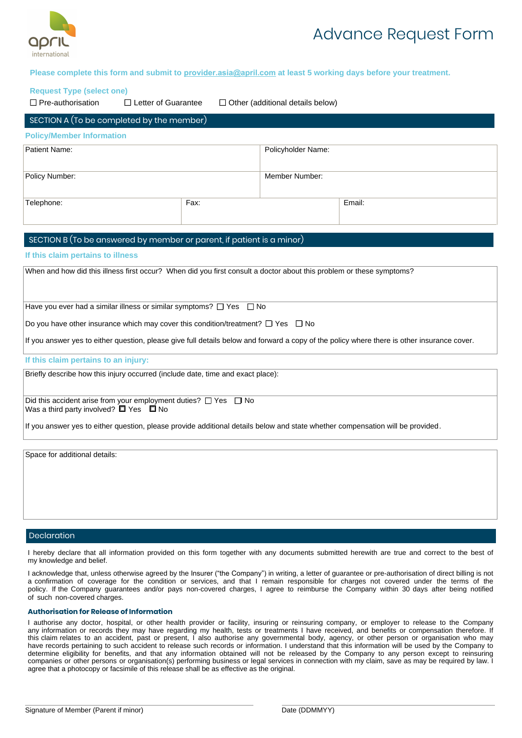

# Advance Request Form

## **Please complete this form and submit to provider.asia@april.com at least 5 working days before your treatment.**

#### **Request Type (select one)**

 $\Box$  Pre-authorisation  $\Box$  Letter of Guarantee  $\Box$  Other (additional details below)

| $\sqrt{\frac{1}{100}}$ SECTION A (To be completed by the member) |      |                    |        |  |  |
|------------------------------------------------------------------|------|--------------------|--------|--|--|
| <b>Policy/Member Information</b>                                 |      |                    |        |  |  |
| Patient Name:                                                    |      | Policyholder Name: |        |  |  |
| Policy Number:                                                   |      | Member Number:     |        |  |  |
| Telephone:                                                       | Fax: |                    | Email: |  |  |

## SECTION B (To be answered by member or parent, if patient is a minor)

#### **If this claim pertains to illness**

When and how did this illness first occur? When did you first consult a doctor about this problem or these symptoms?

Have you ever had a similar illness or similar symptoms?  $\Box$  Yes  $\Box$  No

Do you have other insurance which may cover this condition/treatment?  $\Box$  Yes  $\Box$  No

If you answer yes to either question, please give full details below and forward a copy of the policy where there is other insurance cover.

#### **If this claim pertains to an injury:**

Briefly describe how this injury occurred (include date, time and exact place):

Did this accident arise from your employment duties?  $\Box$  Yes  $\Box$  No Was a third party involved?  $\Box$  Yes  $\Box$  No

If you answer yes to either question, please provide additional details below and state whether compensation will be provided.

Space for additional details:

#### Declaration

I hereby declare that all information provided on this form together with any documents submitted herewith are true and correct to the best of my knowledge and belief.

I acknowledge that, unless otherwise agreed by the Insurer ("the Company") in writing, a letter of guarantee or pre-authorisation of direct billing is not a confirmation of coverage for the condition or services, and that I remain responsible for charges not covered under the terms of the policy. If the Company guarantees and/or pays non-covered charges, I agree to reimburse the Company within 30 days after being notified of such non-covered charges.

#### **Authorisation for Release of Information**

I authorise any doctor, hospital, or other health provider or facility, insuring or reinsuring company, or employer to release to the Company any information or records they may have regarding my health, tests or treatments I have received, and benefits or compensation therefore. If this claim relates to an accident, past or present, I also authorise any governmental body, agency, or other person or organisation who may have records pertaining to such accident to release such records or information. I understand that this information will be used by the Company to determine eligibility for benefits, and that any information obtained will not be released by the Company to any person except to reinsuring companies or other persons or organisation(s) performing business or legal services in connection with my claim, save as may be required by law. I agree that a photocopy or facsimile of this release shall be as effective as the original.